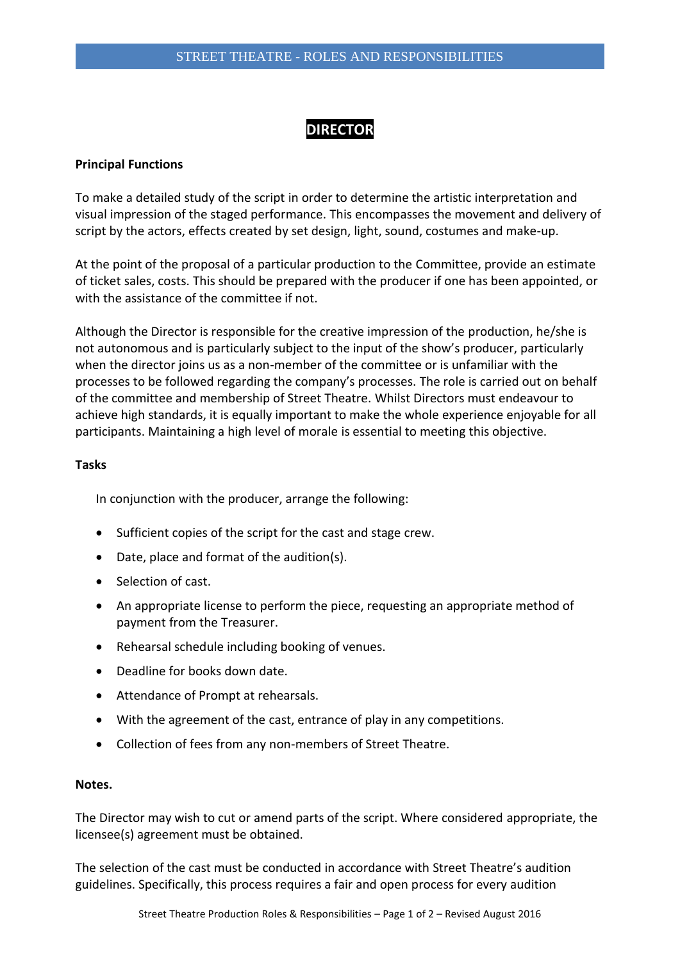## **DIRECTOR**

## **Principal Functions**

To make a detailed study of the script in order to determine the artistic interpretation and visual impression of the staged performance. This encompasses the movement and delivery of script by the actors, effects created by set design, light, sound, costumes and make-up.

At the point of the proposal of a particular production to the Committee, provide an estimate of ticket sales, costs. This should be prepared with the producer if one has been appointed, or with the assistance of the committee if not.

Although the Director is responsible for the creative impression of the production, he/she is not autonomous and is particularly subject to the input of the show's producer, particularly when the director joins us as a non-member of the committee or is unfamiliar with the processes to be followed regarding the company's processes. The role is carried out on behalf of the committee and membership of Street Theatre. Whilst Directors must endeavour to achieve high standards, it is equally important to make the whole experience enjoyable for all participants. Maintaining a high level of morale is essential to meeting this objective.

## **Tasks**

In conjunction with the producer, arrange the following:

- Sufficient copies of the script for the cast and stage crew.
- Date, place and format of the audition(s).
- Selection of cast.
- An appropriate license to perform the piece, requesting an appropriate method of payment from the Treasurer.
- Rehearsal schedule including booking of venues.
- Deadline for books down date.
- Attendance of Prompt at rehearsals.
- With the agreement of the cast, entrance of play in any competitions.
- Collection of fees from any non-members of Street Theatre.

## **Notes.**

The Director may wish to cut or amend parts of the script. Where considered appropriate, the licensee(s) agreement must be obtained.

The selection of the cast must be conducted in accordance with Street Theatre's audition guidelines. Specifically, this process requires a fair and open process for every audition